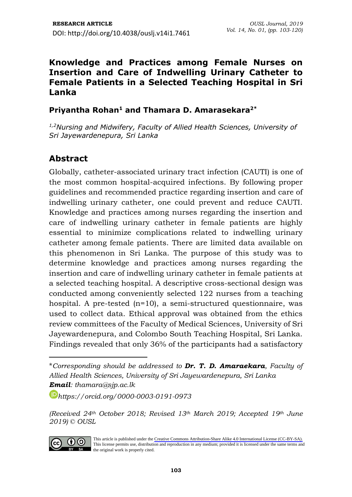## **Knowledge and Practices among Female Nurses on Insertion and Care of Indwelling Urinary Catheter to Female Patients in a Selected Teaching Hospital in Sri Lanka**

## **Priyantha Rohan<sup>1</sup> and Thamara D. Amarasekara2\***

*1,2Nursing and Midwifery, Faculty of Allied Health Sciences, University of Sri Jayewardenepura, Sri Lanka*

# **Abstract**

Globally, catheter-associated urinary tract infection (CAUTI) is one of the most common hospital-acquired infections. By following proper guidelines and recommended practice regarding insertion and care of indwelling urinary catheter, one could prevent and reduce CAUTI. Knowledge and practices among nurses regarding the insertion and care of indwelling urinary catheter in female patients are highly essential to minimize complications related to indwelling urinary catheter among female patients. There are limited data available on this phenomenon in Sri Lanka. The purpose of this study was to determine knowledge and practices among nurses regarding the insertion and care of indwelling urinary catheter in female patients at a selected teaching hospital. A descriptive cross-sectional design was conducted among conveniently selected 122 nurses from a teaching hospital. A pre-tested (n=10), a semi-structured questionnaire, was used to collect data. Ethical approval was obtained from the ethics review committees of the Faculty of Medical Sciences, University of Sri Jayewardenepura, and Colombo South Teaching Hospital, Sri Lanka. Findings revealed that only 36% of the participants had a satisfactory

*http[s://orcid.org/0000-0](mailto:thamara@sjp.ac.lk)003-0191-0973*

*<sup>(</sup>R[eceived 24](https://orcid.org/)th October 2018; Revised 13th March 2019; Accepted 19th June 2019) © OUSL*



This article is published under the [Creative Commons Attribution-Share Alike 4.0 International License \(CC-BY-SA\).](https://creativecommons.org/licenses/by-sa/4.0/) This license permits use, distribution and reproduction in any medium; provided it is licensed under the same terms and the original work is properly cited.

<sup>\*</sup>*Corresponding should be addressed to Dr. T. D. Amaraekara, Faculty of Allied Health Sciences, University of Sri Jayewardenepura, Sri Lanka Email: thamara@sjp.ac.lk*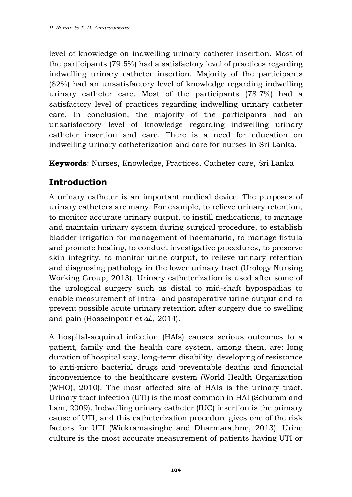level of knowledge on indwelling urinary catheter insertion. Most of the participants (79.5%) had a satisfactory level of practices regarding indwelling urinary catheter insertion. Majority of the participants (82%) had an unsatisfactory level of knowledge regarding indwelling urinary catheter care. Most of the participants (78.7%) had a satisfactory level of practices regarding indwelling urinary catheter care. In conclusion, the majority of the participants had an unsatisfactory level of knowledge regarding indwelling urinary catheter insertion and care. There is a need for education on indwelling urinary catheterization and care for nurses in Sri Lanka.

**Keywords**: Nurses, Knowledge, Practices, Catheter care, Sri Lanka

# **Introduction**

A urinary catheter is an important medical device. The purposes of urinary catheters are many. For example, to relieve urinary retention, to monitor accurate urinary output, to instill medications, to manage and maintain urinary system during surgical procedure, to establish bladder irrigation for management of haematuria, to manage fistula and promote healing, to conduct investigative procedures, to preserve skin integrity, to monitor urine output, to relieve urinary retention and diagnosing pathology in the lower urinary tract (Urology Nursing Working Group, 2013). Urinary catheterization is used after some of the urological surgery such as distal to mid-shaft hypospadias to enable measurement of intra- and postoperative urine output and to prevent possible acute urinary retention after surgery due to swelling and pain (Hosseinpour e*t al.,* 2014).

A hospital-acquired infection (HAIs) causes serious outcomes to a patient, family and the health care system, among them, are: long duration of hospital stay, long-term disability, developing of resistance to anti-micro bacterial drugs and preventable deaths and financial inconvenience to the healthcare system (World Health Organization (WHO), 2010). The most affected site of HAIs is the urinary tract. Urinary tract infection (UTI) is the most common in HAI (Schumm and Lam, 2009). Indwelling urinary catheter (IUC) insertion is the primary cause of UTI, and this catheterization procedure gives one of the risk factors for UTI (Wickramasinghe and Dharmarathne, 2013). Urine culture is the most accurate measurement of patients having UTI or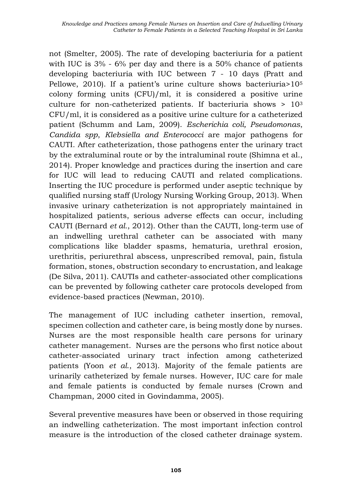not (Smelter, 2005). The rate of developing bacteriuria for a patient with IUC is 3% - 6% per day and there is a 50% chance of patients developing bacteriuria with IUC between 7 - 10 days (Pratt and Pellowe, 2010). If a patient's urine culture shows bacteriuria>10<sup>5</sup> colony forming units (CFU)/ml, it is considered a positive urine culture for non-catheterized patients. If bacteriuria shows > 10<sup>3</sup> CFU/ml, it is considered as a positive urine culture for a catheterized patient (Schumm and Lam, 2009). *Escherichia coli, Pseudomonas*, *Candida spp*, *Klebsiella and Enterococci* are major pathogens for CAUTI. After catheterization, those pathogens enter the urinary tract by the extraluminal route or by the intraluminal route (Shimna et al., 2014). Proper knowledge and practices during the insertion and care for IUC will lead to reducing CAUTI and related complications. Inserting the IUC procedure is performed under aseptic technique by qualified nursing staff (Urology Nursing Working Group, 2013). When invasive urinary catheterization is not appropriately maintained in hospitalized patients, serious adverse effects can occur, including CAUTI (Bernard *et al.*, 2012). Other than the CAUTI, long-term use of an indwelling urethral catheter can be associated with many complications like bladder spasms, hematuria, urethral erosion, urethritis, periurethral abscess, unprescribed removal, pain, fistula formation, stones, obstruction secondary to encrustation, and leakage (De Silva, 2011). CAUTIs and catheter-associated other complications can be prevented by following catheter care protocols developed from evidence-based practices (Newman, 2010).

The management of IUC including catheter insertion, removal, specimen collection and catheter care, is being mostly done by nurses. Nurses are the most responsible health care persons for urinary catheter management. Nurses are the persons who first notice about catheter-associated urinary tract infection among catheterized patients (Yoon *et al*., 2013). Majority of the female patients are urinarily catheterized by female nurses. However, IUC care for male and female patients is conducted by female nurses (Crown and Champman, 2000 cited in Govindamma, 2005).

Several preventive measures have been or observed in those requiring an indwelling catheterization. The most important infection control measure is the introduction of the closed catheter drainage system.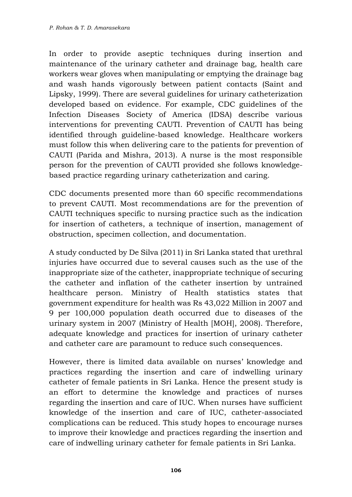In order to provide aseptic techniques during insertion and maintenance of the urinary catheter and drainage bag, health care workers wear gloves when manipulating or emptying the drainage bag and wash hands vigorously between patient contacts (Saint and Lipsky, 1999). There are several guidelines for urinary catheterization developed based on evidence. For example, CDC guidelines of the Infection Diseases Society of America (IDSA) describe various interventions for preventing CAUTI. Prevention of CAUTI has being identified through guideline-based knowledge. Healthcare workers must follow this when delivering care to the patients for prevention of CAUTI (Parida and Mishra, 2013). A nurse is the most responsible person for the prevention of CAUTI provided she follows knowledgebased practice regarding urinary catheterization and caring.

CDC documents presented more than 60 specific recommendations to prevent CAUTI. Most recommendations are for the prevention of CAUTI techniques specific to nursing practice such as the indication for insertion of catheters, a technique of insertion, management of obstruction, specimen collection, and documentation.

A study conducted by De Silva (2011) in Sri Lanka stated that urethral injuries have occurred due to several causes such as the use of the inappropriate size of the catheter, inappropriate technique of securing the catheter and inflation of the catheter insertion by untrained healthcare person. Ministry of Health statistics states that government expenditure for health was Rs 43,022 Million in 2007 and 9 per 100,000 population death occurred due to diseases of the urinary system in 2007 (Ministry of Health [MOH], 2008). Therefore, adequate knowledge and practices for insertion of urinary catheter and catheter care are paramount to reduce such consequences.

However, there is limited data available on nurses' knowledge and practices regarding the insertion and care of indwelling urinary catheter of female patients in Sri Lanka. Hence the present study is an effort to determine the knowledge and practices of nurses regarding the insertion and care of IUC. When nurses have sufficient knowledge of the insertion and care of IUC, catheter-associated complications can be reduced. This study hopes to encourage nurses to improve their knowledge and practices regarding the insertion and care of indwelling urinary catheter for female patients in Sri Lanka.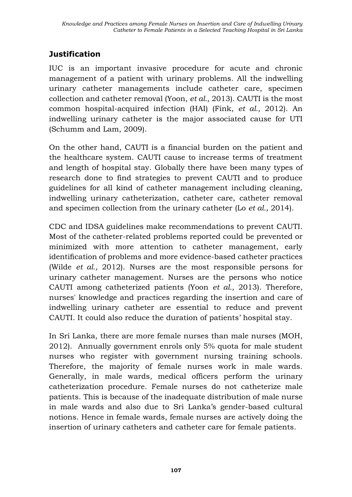# **Justification**

IUC is an important invasive procedure for acute and chronic management of a patient with urinary problems. All the indwelling urinary catheter managements include catheter care, specimen collection and catheter removal (Yoon, *et al.,* 2013). CAUTI is the most common hospital-acquired infection (HAI) (Fink, *et al.,* 2012). An indwelling urinary catheter is the major associated cause for UTI (Schumm and Lam, 2009).

On the other hand, CAUTI is a financial burden on the patient and the healthcare system. CAUTI cause to increase terms of treatment and length of hospital stay. Globally there have been many types of research done to find strategies to prevent CAUTI and to produce guidelines for all kind of catheter management including cleaning, indwelling urinary catheterization, catheter care, catheter removal and specimen collection from the urinary catheter (Lo *et al.,* 2014).

CDC and IDSA guidelines make recommendations to prevent CAUTI. Most of the catheter-related problems reported could be prevented or minimized with more attention to catheter management, early identification of problems and more evidence-based catheter practices (Wilde *et al.,* 2012). Nurses are the most responsible persons for urinary catheter management. Nurses are the persons who notice CAUTI among catheterized patients (Yoon *et al.,* 2013). Therefore, nurses' knowledge and practices regarding the insertion and care of indwelling urinary catheter are essential to reduce and prevent CAUTI. It could also reduce the duration of patients' hospital stay.

In Sri Lanka, there are more female nurses than male nurses (MOH, 2012). Annually government enrols only 5% quota for male student nurses who register with government nursing training schools. Therefore, the majority of female nurses work in male wards. Generally, in male wards, medical officers perform the urinary catheterization procedure. Female nurses do not catheterize male patients. This is because of the inadequate distribution of male nurse in male wards and also due to Sri Lanka's gender-based cultural notions. Hence in female wards, female nurses are actively doing the insertion of urinary catheters and catheter care for female patients.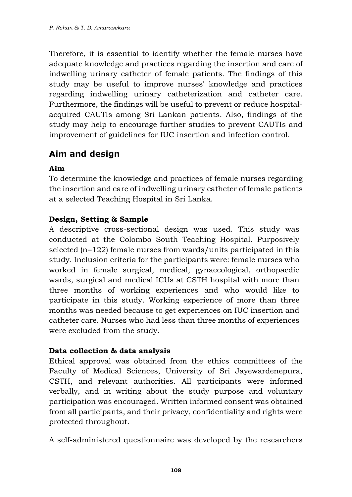Therefore, it is essential to identify whether the female nurses have adequate knowledge and practices regarding the insertion and care of indwelling urinary catheter of female patients. The findings of this study may be useful to improve nurses' knowledge and practices regarding indwelling urinary catheterization and catheter care. Furthermore, the findings will be useful to prevent or reduce hospitalacquired CAUTIs among Sri Lankan patients. Also, findings of the study may help to encourage further studies to prevent CAUTIs and improvement of guidelines for IUC insertion and infection control.

# **Aim and design**

#### **Aim**

To determine the knowledge and practices of female nurses regarding the insertion and care of indwelling urinary catheter of female patients at a selected Teaching Hospital in Sri Lanka.

#### **Design, Setting & Sample**

A descriptive cross-sectional design was used. This study was conducted at the Colombo South Teaching Hospital. Purposively selected (n=122) female nurses from wards/units participated in this study. Inclusion criteria for the participants were: female nurses who worked in female surgical, medical, gynaecological, orthopaedic wards, surgical and medical ICUs at CSTH hospital with more than three months of working experiences and who would like to participate in this study. Working experience of more than three months was needed because to get experiences on IUC insertion and catheter care. Nurses who had less than three months of experiences were excluded from the study.

#### **Data collection & data analysis**

Ethical approval was obtained from the ethics committees of the Faculty of Medical Sciences, University of Sri Jayewardenepura, CSTH, and relevant authorities. All participants were informed verbally, and in writing about the study purpose and voluntary participation was encouraged. Written informed consent was obtained from all participants, and their privacy, confidentiality and rights were protected throughout.

A self-administered questionnaire was developed by the researchers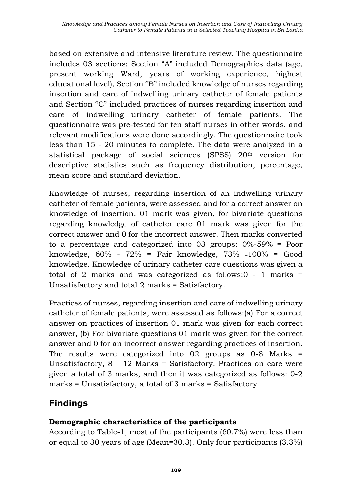based on extensive and intensive literature review. The questionnaire includes 03 sections: Section "A" included Demographics data (age, present working Ward, years of working experience, highest educational level), Section "B" included knowledge of nurses regarding insertion and care of indwelling urinary catheter of female patients and Section "C" included practices of nurses regarding insertion and care of indwelling urinary catheter of female patients. The questionnaire was pre-tested for ten staff nurses in other words, and relevant modifications were done accordingly. The questionnaire took less than 15 - 20 minutes to complete. The data were analyzed in a statistical package of social sciences (SPSS) 20<sup>th</sup> version for descriptive statistics such as frequency distribution, percentage, mean score and standard deviation.

Knowledge of nurses, regarding insertion of an indwelling urinary catheter of female patients, were assessed and for a correct answer on knowledge of insertion, 01 mark was given, for bivariate questions regarding knowledge of catheter care 01 mark was given for the correct answer and 0 for the incorrect answer. Then marks converted to a percentage and categorized into 03 groups: 0%-59% = Poor knowledge,  $60\%$  -  $72\%$  = Fair knowledge,  $73\%$  -100% = Good knowledge. Knowledge of urinary catheter care questions was given a total of 2 marks and was categorized as follows:0 - 1 marks = Unsatisfactory and total 2 marks = Satisfactory.

Practices of nurses, regarding insertion and care of indwelling urinary catheter of female patients, were assessed as follows:(a) For a correct answer on practices of insertion 01 mark was given for each correct answer, (b) For bivariate questions 01 mark was given for the correct answer and 0 for an incorrect answer regarding practices of insertion. The results were categorized into 02 groups as 0-8 Marks = Unsatisfactory,  $8 - 12$  Marks = Satisfactory. Practices on care were given a total of 3 marks, and then it was categorized as follows: 0-2 marks = Unsatisfactory, a total of 3 marks = Satisfactory

# **Findings**

## **Demographic characteristics of the participants**

According to Table-1, most of the participants (60.7%) were less than or equal to 30 years of age (Mean=30.3). Only four participants (3.3%)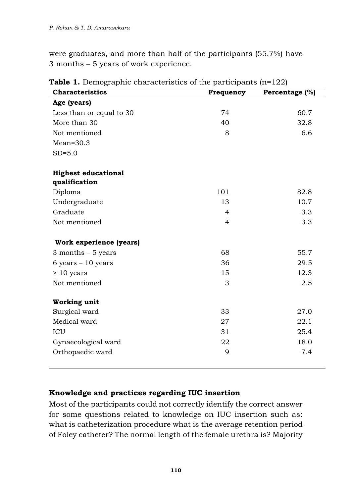were graduates, and more than half of the participants (55.7%) have 3 months – 5 years of work experience.

| <b>Characteristics</b>               | Frequency | Percentage (%) |
|--------------------------------------|-----------|----------------|
| Age (years)                          |           |                |
| Less than or equal to 30             | 74        | 60.7           |
| More than 30                         | 40        | 32.8           |
| Not mentioned                        | 8         | 6.6            |
| $Mean = 30.3$                        |           |                |
| $SD=5.0$                             |           |                |
| <b>Highest educational</b>           |           |                |
| qualification                        |           |                |
| Diploma                              | 101       | 82.8           |
| Undergraduate                        | 13        | 10.7           |
| Graduate                             | 4         | 3.3            |
| Not mentioned                        | 4         | 3.3            |
| Work experience (years)              |           |                |
| $3$ months $-5$ years                | 68        | 55.7           |
| $6 \text{ years} - 10 \text{ years}$ | 36        | 29.5           |
| $> 10$ years                         | 15        | 12.3           |
| Not mentioned                        | 3         | 2.5            |
| <b>Working unit</b>                  |           |                |
| Surgical ward                        | 33        | 27.0           |
| Medical ward                         | 27        | 22.1           |
| ICU                                  | 31        | 25.4           |
| Gynaecological ward                  | 22        | 18.0           |
| Orthopaedic ward                     | 9         | 7.4            |
|                                      |           |                |

**Table 1.** Demographic characteristics of the participants (n=122)

## **Knowledge and practices regarding IUC insertion**

Most of the participants could not correctly identify the correct answer for some questions related to knowledge on IUC insertion such as: what is catheterization procedure what is the average retention period of Foley catheter? The normal length of the female urethra is? Majority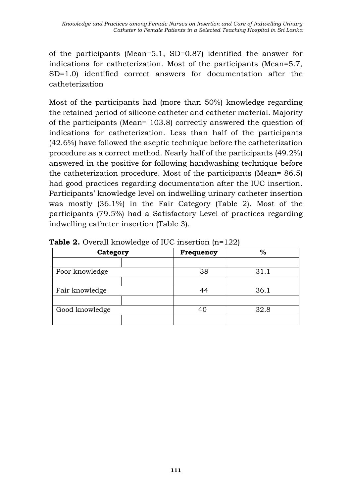of the participants (Mean=5.1, SD=0.87) identified the answer for indications for catheterization. Most of the participants (Mean=5.7, SD=1.0) identified correct answers for documentation after the catheterization

Most of the participants had (more than 50%) knowledge regarding the retained period of silicone catheter and catheter material. Majority of the participants (Mean= 103.8) correctly answered the question of indications for catheterization. Less than half of the participants (42.6%) have followed the aseptic technique before the catheterization procedure as a correct method. Nearly half of the participants (49.2%) answered in the positive for following handwashing technique before the catheterization procedure. Most of the participants (Mean= 86.5) had good practices regarding documentation after the IUC insertion. Participants' knowledge level on indwelling urinary catheter insertion was mostly (36.1%) in the Fair Category (Table 2). Most of the participants (79.5%) had a Satisfactory Level of practices regarding indwelling catheter insertion (Table 3).

| Category       | Frequency | $\%$ |  |
|----------------|-----------|------|--|
|                |           |      |  |
| Poor knowledge | 38        | 31.1 |  |
|                |           |      |  |
| Fair knowledge | 44        | 36.1 |  |
|                |           |      |  |
| Good knowledge |           | 32.8 |  |
|                |           |      |  |

**Table 2.** Overall knowledge of IUC insertion (n=122)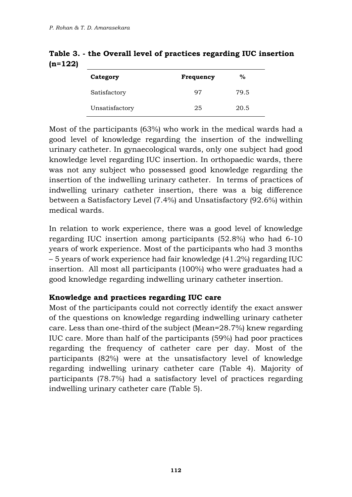| Category       | Frequency | $\%$ |
|----------------|-----------|------|
| Satisfactory   | 97        | 79.5 |
| Unsatisfactory | 25        | 20.5 |

**Table 3. - the Overall level of practices regarding IUC insertion (n=122)**

Most of the participants (63%) who work in the medical wards had a good level of knowledge regarding the insertion of the indwelling urinary catheter. In gynaecological wards, only one subject had good knowledge level regarding IUC insertion. In orthopaedic wards, there was not any subject who possessed good knowledge regarding the insertion of the indwelling urinary catheter. In terms of practices of indwelling urinary catheter insertion, there was a big difference between a Satisfactory Level (7.4%) and Unsatisfactory (92.6%) within medical wards.

In relation to work experience, there was a good level of knowledge regarding IUC insertion among participants (52.8%) who had 6-10 years of work experience. Most of the participants who had 3 months – 5 years of work experience had fair knowledge (41.2%) regarding IUC insertion. All most all participants (100%) who were graduates had a good knowledge regarding indwelling urinary catheter insertion.

### **Knowledge and practices regarding IUC care**

Most of the participants could not correctly identify the exact answer of the questions on knowledge regarding indwelling urinary catheter care. Less than one-third of the subject (Mean=28.7%) knew regarding IUC care. More than half of the participants (59%) had poor practices regarding the frequency of catheter care per day. Most of the participants (82%) were at the unsatisfactory level of knowledge regarding indwelling urinary catheter care (Table 4). Majority of participants (78.7%) had a satisfactory level of practices regarding indwelling urinary catheter care (Table 5).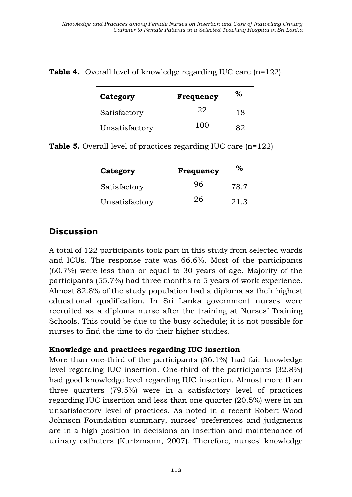| Category       | Frequency | %  |
|----------------|-----------|----|
| Satisfactory   | 22        | 18 |
| Unsatisfactory | 100       | ຂາ |

**Table 4.** Overall level of knowledge regarding IUC care (n=122)

**Table 5.** Overall level of practices regarding IUC care (n=122)

| Category       | <b>Frequency</b> | $\%$ |
|----------------|------------------|------|
| Satisfactory   | 96               | 78.7 |
| Unsatisfactory | 26               | 21.3 |

## **Discussion**

A total of 122 participants took part in this study from selected wards and ICUs. The response rate was 66.6%. Most of the participants (60.7%) were less than or equal to 30 years of age. Majority of the participants (55.7%) had three months to 5 years of work experience. Almost 82.8% of the study population had a diploma as their highest educational qualification. In Sri Lanka government nurses were recruited as a diploma nurse after the training at Nurses' Training Schools. This could be due to the busy schedule; it is not possible for nurses to find the time to do their higher studies.

### **Knowledge and practices regarding IUC insertion**

More than one-third of the participants (36.1%) had fair knowledge level regarding IUC insertion. One-third of the participants (32.8%) had good knowledge level regarding IUC insertion. Almost more than three quarters (79.5%) were in a satisfactory level of practices regarding IUC insertion and less than one quarter (20.5%) were in an unsatisfactory level of practices. As noted in a recent Robert Wood Johnson Foundation summary, nurses' preferences and judgments are in a high position in decisions on insertion and maintenance of urinary catheters (Kurtzmann, 2007). Therefore, nurses' knowledge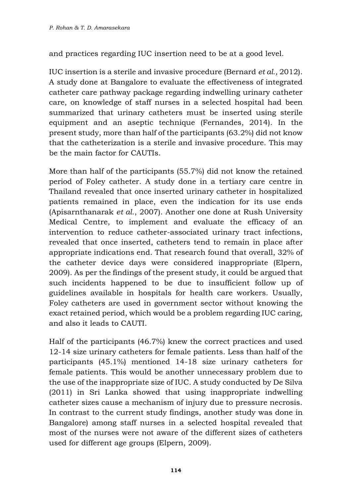and practices regarding IUC insertion need to be at a good level.

IUC insertion is a sterile and invasive procedure (Bernard *et al.,* 2012). A study done at Bangalore to evaluate the effectiveness of integrated catheter care pathway package regarding indwelling urinary catheter care, on knowledge of staff nurses in a selected hospital had been summarized that urinary catheters must be inserted using sterile equipment and an aseptic technique (Fernandes, 2014). In the present study, more than half of the participants (63.2%) did not know that the catheterization is a sterile and invasive procedure. This may be the main factor for CAUTIs.

More than half of the participants (55.7%) did not know the retained period of Foley catheter. A study done in a tertiary care centre in Thailand revealed that once inserted urinary catheter in hospitalized patients remained in place, even the indication for its use ends (Apisarnthanarak *et al*., 2007). Another one done at Rush University Medical Centre, to implement and evaluate the efficacy of an intervention to reduce catheter-associated urinary tract infections, revealed that once inserted, catheters tend to remain in place after appropriate indications end. That research found that overall, 32% of the catheter device days were considered inappropriate (Elpern, 2009). As per the findings of the present study, it could be argued that such incidents happened to be due to insufficient follow up of guidelines available in hospitals for health care workers. Usually, Foley catheters are used in government sector without knowing the exact retained period, which would be a problem regarding IUC caring, and also it leads to CAUTI.

Half of the participants (46.7%) knew the correct practices and used 12-14 size urinary catheters for female patients. Less than half of the participants (45.1%) mentioned 14-18 size urinary catheters for female patients. This would be another unnecessary problem due to the use of the inappropriate size of IUC. A study conducted by De Silva (2011) in Sri Lanka showed that using inappropriate indwelling catheter sizes cause a mechanism of injury due to pressure necrosis. In contrast to the current study findings, another study was done in Bangalore) among staff nurses in a selected hospital revealed that most of the nurses were not aware of the different sizes of catheters used for different age groups (Elpern, 2009).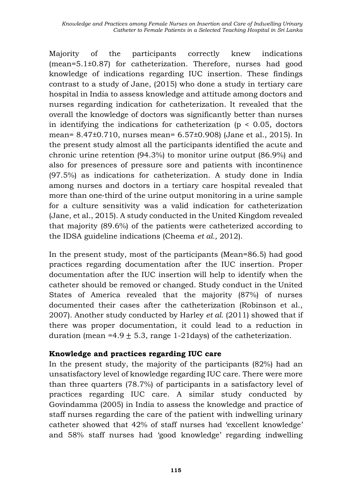Majority of the participants correctly knew indications (mean=5.1±0.87) for catheterization. Therefore, nurses had good knowledge of indications regarding IUC insertion. These findings contrast to a study of Jane, (2015) who done a study in tertiary care hospital in India to assess knowledge and attitude among doctors and nurses regarding indication for catheterization. It revealed that the overall the knowledge of doctors was significantly better than nurses in identifying the indications for catheterization ( $p < 0.05$ , doctors mean= 8.47±0.710, nurses mean= 6.57±0.908) (Jane et al., 2015). In the present study almost all the participants identified the acute and chronic urine retention (94.3%) to monitor urine output (86.9%) and also for presences of pressure sore and patients with incontinence (97.5%) as indications for catheterization. A study done in India among nurses and doctors in a tertiary care hospital revealed that more than one-third of the urine output monitoring in a urine sample for a culture sensitivity was a valid indication for catheterization (Jane, et al., 2015). A study conducted in the United Kingdom revealed that majority (89.6%) of the patients were catheterized according to the IDSA guideline indications (Cheema *et al.,* 2012).

In the present study, most of the participants (Mean=86.5) had good practices regarding documentation after the IUC insertion. Proper documentation after the IUC insertion will help to identify when the catheter should be removed or changed. Study conduct in the United States of America revealed that the majority (87%) of nurses documented their cases after the catheterization (Robinson et al., 2007). Another study conducted by Harley *et al*. (2011) showed that if there was proper documentation, it could lead to a reduction in duration (mean =4.9  $\pm$  5.3, range 1-21 days) of the catheterization.

### **Knowledge and practices regarding IUC care**

In the present study, the majority of the participants (82%) had an unsatisfactory level of knowledge regarding IUC care. There were more than three quarters (78.7%) of participants in a satisfactory level of practices regarding IUC care. A similar study conducted by Govindamma (2005) in India to assess the knowledge and practice of staff nurses regarding the care of the patient with indwelling urinary catheter showed that 42% of staff nurses had 'excellent knowledge' and 58% staff nurses had 'good knowledge' regarding indwelling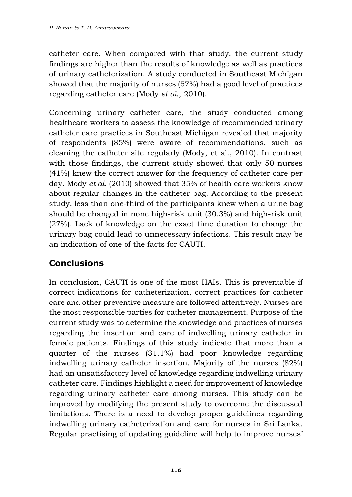catheter care. When compared with that study, the current study findings are higher than the results of knowledge as well as practices of urinary catheterization. A study conducted in Southeast Michigan showed that the majority of nurses (57%) had a good level of practices regarding catheter care (Mody *et al*., 2010).

Concerning urinary catheter care, the study conducted among healthcare workers to assess the knowledge of recommended urinary catheter care practices in Southeast Michigan revealed that majority of respondents (85%) were aware of recommendations, such as cleaning the catheter site regularly (Mody, et al., 2010). In contrast with those findings, the current study showed that only 50 nurses (41%) knew the correct answer for the frequency of catheter care per day. Mody *et al*. (2010) showed that 35% of health care workers know about regular changes in the catheter bag. According to the present study, less than one-third of the participants knew when a urine bag should be changed in none high-risk unit (30.3%) and high-risk unit (27%). Lack of knowledge on the exact time duration to change the urinary bag could lead to unnecessary infections. This result may be an indication of one of the facts for CAUTI.

# **Conclusions**

In conclusion, CAUTI is one of the most HAIs. This is preventable if correct indications for catheterization, correct practices for catheter care and other preventive measure are followed attentively. Nurses are the most responsible parties for catheter management. Purpose of the current study was to determine the knowledge and practices of nurses regarding the insertion and care of indwelling urinary catheter in female patients. Findings of this study indicate that more than a quarter of the nurses (31.1%) had poor knowledge regarding indwelling urinary catheter insertion. Majority of the nurses (82%) had an unsatisfactory level of knowledge regarding indwelling urinary catheter care. Findings highlight a need for improvement of knowledge regarding urinary catheter care among nurses. This study can be improved by modifying the present study to overcome the discussed limitations. There is a need to develop proper guidelines regarding indwelling urinary catheterization and care for nurses in Sri Lanka. Regular practising of updating guideline will help to improve nurses'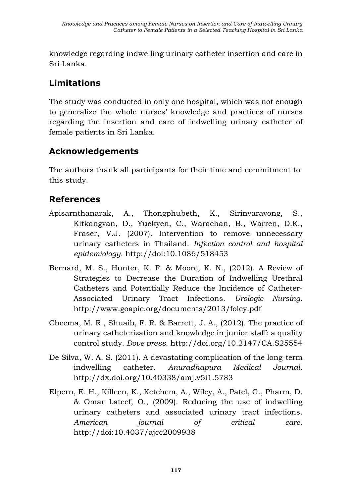knowledge regarding indwelling urinary catheter insertion and care in Sri Lanka.

# **Limitations**

The study was conducted in only one hospital, which was not enough to generalize the whole nurses' knowledge and practices of nurses regarding the insertion and care of indwelling urinary catheter of female patients in Sri Lanka.

# **Acknowledgements**

The authors thank all participants for their time and commitment to this study.

# **References**

- Apisarnthanarak, A., Thongphubeth, K., Sirinvaravong, S., Kitkangvan, D., Yuekyen, C., Warachan, B., Warren, D.K., Fraser, V.J. (2007). Intervention to remove unnecessary urinary catheters in Thailand. *Infection control and hospital epidemiology.* http://doi:10.1086/518453
- Bernard, M. S., Hunter, K. F. & Moore, K. N., (2012). A Review of Strategies to Decrease the Duration of Indwelling Urethral Catheters and Potentially Reduce the Incidence of Catheter-Associated Urinary Tract Infections. *Urologic Nursing*. http://www.goapic.org/documents/2013/foley.pdf
- Cheema, M. R., Shuaib, F. R. & Barrett, J. A., (2012). The practice of urinary catheterization and knowledge in junior staff: a quality control study. *Dove press*. http://doi.org/10.2147/CA.S25554
- De Silva, W. A. S. (2011). A devastating complication of the long-term indwelling catheter. *Anuradhapura Medical Journal*. http://dx.doi.org/10.40338/amj.v5i1.5783
- Elpern, E. H., Killeen, K., Ketchem, A., Wiley, A., Patel, G., Pharm, D. & Omar Lateef, O., (2009). Reducing the use of indwelling urinary catheters and associated urinary tract infections. *American journal of critical care.*  http://doi:10.4037/ajcc2009938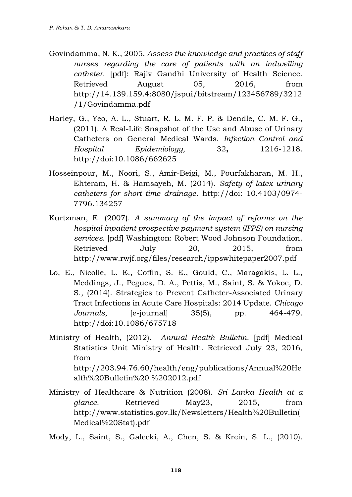- Govindamma, N. K., 2005. *Assess the knowledge and practices of staff nurses regarding the care of patients with an indwelling catheter*. [pdf]: Rajiv Gandhi University of Health Science. Retrieved August 05, 2016, from http://14.139.159.4:8080/jspui/bitstream/123456789/3212 /1/Govindamma.pdf
- Harley, G., Yeo, A. L., Stuart, R. L. M. F. P. & Dendle, C. M. F. G., (2011). A Real-Life Snapshot of the Use and Abuse of Urinary Catheters on General Medical Wards. *Infection Control and Hospital Epidemiology,* 32**,** 1216-1218. http://doi[:10.1086/662625](https://doi.org/10.1086/662625)
- Hosseinpour, M., Noori, S., Amir-Beigi, M., Pourfakharan, M. H., Ehteram, H. & Hamsayeh, M. (2014). *Safety of latex urinary catheters for short time drainage*. http://doi: 10.4103/0974- 7796.134257
- Kurtzman, E. (2007). *A summary of the impact of reforms on the hospital inpatient prospective payment system (IPPS) on nursing services*. [pdf] Washington: Robert Wood Johnson Foundation. Retrieved July 20, 2015, from http://www.rwjf.org/files/research/ippswhitepaper2007.pdf
- Lo, E., Nicolle, L. E., Coffin, S. E., Gould, C., Maragakis, L. L., Meddings, J., Pegues, D. A., Pettis, M., Saint, S. & Yokoe, D. S., (2014). Strategies to Prevent Catheter-Associated Urinary Tract Infections in Acute Care Hospitals: 2014 Update. *Chicago Journals*, [e-journal] 35(5), pp. 464-479. http://doi[:10.1086/675718](https://doi.org/10.1086/675718)
- Ministry of Health, (2012). *Annual Health Bulletin*. [pdf] Medical Statistics Unit Ministry of Health. Retrieved July 23, 2016, from http://203.94.76.60/health/eng/publications/Annual%20He alth%20Bulletin%20 %202012.pdf
- Ministry of Healthcare & Nutrition (2008). *Sri Lanka Health at a glance.* Retrieved May23, 2015, from http://www.statistics.gov.lk/Newsletters/Health%20Bulletin( Medical%20Stat).pdf

Mody, L., Saint, S., Galecki, A., Chen, S. & Krein, S. L., (2010).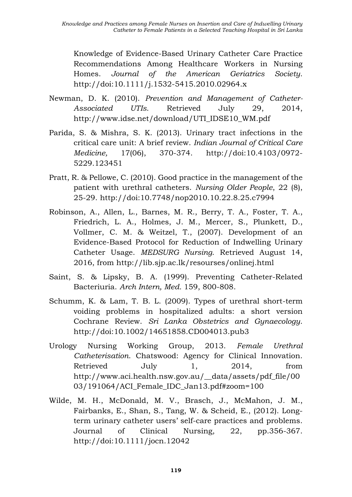Knowledge of Evidence-Based Urinary Catheter Care Practice Recommendations Among Healthcare Workers in Nursing Homes. *Journal of the American Geriatrics Society*. http://doi[:10.1111/j.1532-5415.2010.02964.x](https://doi.org/10.1111/j.1532-5415.2010.02964.x)

- Newman, D. K. (2010). *Prevention and Management of Catheter-Associated UTIs*. Retrieved July 29, 2014, http://www.idse.net/download/UTI\_IDSE10\_WM.pdf
- Parida, S. & Mishra, S. K. (2013). Urinary tract infections in the critical care unit: A brief review. *Indian Journal of Critical Care Medicine,* 17(06), 370-374. http://doi[:10.4103/0972-](https://doi.org/10.4103/0972-5229.123451) [5229.123451](https://doi.org/10.4103/0972-5229.123451)
- Pratt, R. & Pellowe, C. (2010). Good practice in the management of the patient with urethral catheters. *Nursing Older People*, 22 (8), 25-29. http://doi[:10.7748/nop2010.10.22.8.25.c7994](https://doi.org/10.7748/nop2010.10.22.8.25.c7994)
- Robinson, A., Allen, L., Barnes, M. R., Berry, T. A., Foster, T. A., Friedrich, L. A., Holmes, J. M., Mercer, S., Plunkett, D., Vollmer, C. M. & Weitzel, T., (2007). Development of an Evidence-Based Protocol for Reduction of Indwelling Urinary Catheter Usage. *MEDSURG Nursing*. Retrieved August 14, 2016, from http://lib.sjp.ac.lk/resourses/onlinej.html
- Saint, S. & Lipsky, B. A. (1999). Preventing Catheter-Related Bacteriuria. *Arch Intern, Med.* 159, 800-808.
- Schumm, K. & Lam, T. B. L. (2009). Types of urethral short-term voiding problems in hospitalized adults: a short version Cochrane Review. *Sri Lanka Obstetrics and Gynaecology*. http://doi[:10.1002/14651858.CD004013.pub3](https://doi.org/10.1002/14651858.CD004013.pub3)
- Urology Nursing Working Group, 2013. *Female Urethral Catheterisation*. Chatswood: Agency for Clinical Innovation. Retrieved July 1, 2014, from http://www.aci.health.nsw.gov.au/\_\_data/assets/pdf\_file/00 03/191064/ACI\_Female\_IDC\_Jan13.pdf#zoom=100
- Wilde, M. H., McDonald, M. V., Brasch, J., McMahon, J. M., Fairbanks, E., Shan, S., Tang, W. & Scheid, E., (2012). Longterm urinary catheter users' self-care practices and problems. Journal of Clinical Nursing, 22, pp.356-367. http://doi[:10.1111/jocn.12042](https://doi.org/10.1111/jocn.12042)